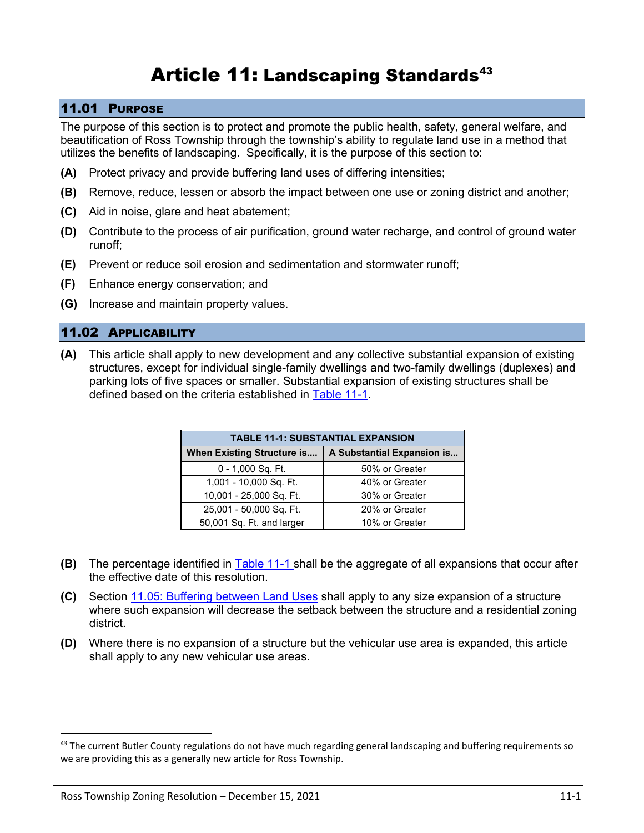# Article 11: Landscaping Standards<sup>43</sup>

## 11.01 PURPOSE

The purpose of this section is to protect and promote the public health, safety, general welfare, and beautification of Ross Township through the township's ability to regulate land use in a method that utilizes the benefits of landscaping. Specifically, it is the purpose of this section to:

- **(A)** Protect privacy and provide buffering land uses of differing intensities;
- **(B)** Remove, reduce, lessen or absorb the impact between one use or zoning district and another;
- **(C)** Aid in noise, glare and heat abatement;
- **(D)** Contribute to the process of air purification, ground water recharge, and control of ground water runoff;
- **(E)** Prevent or reduce soil erosion and sedimentation and stormwater runoff;
- **(F)** Enhance energy conservation; and
- **(G)** Increase and maintain property values.

## 11.02 APPLICABILITY

**(A)** This article shall apply to new development and any collective substantial expansion of existing structures, except for individual single-family dwellings and two-family dwellings (duplexes) and parking lots of five spaces or smaller. Substantial expansion of existing structures shall be defined based on the criteria established in [Table 11-1.](#page-0-0)

<span id="page-0-0"></span>

| <b>TABLE 11-1: SUBSTANTIAL EXPANSION</b> |                            |
|------------------------------------------|----------------------------|
| When Existing Structure is               | A Substantial Expansion is |
| 0 - 1,000 Sq. Ft.                        | 50% or Greater             |
| 1,001 - 10,000 Sq. Ft.                   | 40% or Greater             |
| 10,001 - 25,000 Sq. Ft.                  | 30% or Greater             |
| 25,001 - 50,000 Sq. Ft.                  | 20% or Greater             |
| 50,001 Sq. Ft. and larger                | 10% or Greater             |

- **(B)** The percentage identified in [Table 11-1](#page-0-0) shall be the aggregate of all expansions that occur after the effective date of this resolution.
- **(C)** Section [11.05: Buffering between Land Uses](#page-4-0) shall apply to any size expansion of a structure where such expansion will decrease the setback between the structure and a residential zoning district.
- **(D)** Where there is no expansion of a structure but the vehicular use area is expanded, this article shall apply to any new vehicular use areas.

<sup>43</sup> The current Butler County regulations do not have much regarding general landscaping and buffering requirements so we are providing this as a generally new article for Ross Township.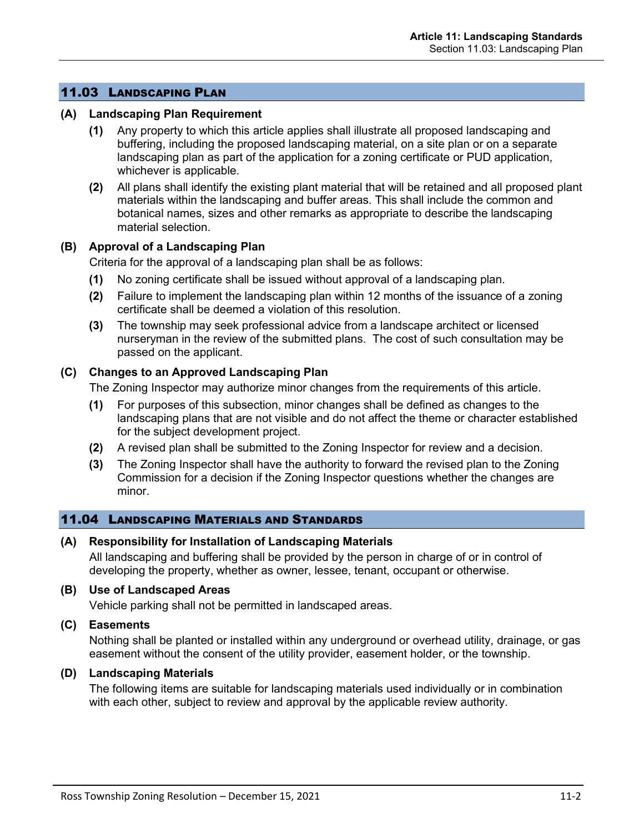## 11.03 LANDSCAPING PLAN

#### **(A) Landscaping Plan Requirement**

- **(1)** Any property to which this article applies shall illustrate all proposed landscaping and buffering, including the proposed landscaping material, on a site plan or on a separate landscaping plan as part of the application for a zoning certificate or PUD application, whichever is applicable.
- **(2)** All plans shall identify the existing plant material that will be retained and all proposed plant materials within the landscaping and buffer areas. This shall include the common and botanical names, sizes and other remarks as appropriate to describe the landscaping material selection.

#### **(B) Approval of a Landscaping Plan**

Criteria for the approval of a landscaping plan shall be as follows:

- **(1)** No zoning certificate shall be issued without approval of a landscaping plan.
- **(2)** Failure to implement the landscaping plan within 12 months of the issuance of a zoning certificate shall be deemed a violation of this resolution.
- **(3)** The township may seek professional advice from a landscape architect or licensed nurseryman in the review of the submitted plans. The cost of such consultation may be passed on the applicant.

#### **(C) Changes to an Approved Landscaping Plan**

The Zoning Inspector may authorize minor changes from the requirements of this article.

- **(1)** For purposes of this subsection, minor changes shall be defined as changes to the landscaping plans that are not visible and do not affect the theme or character established for the subject development project.
- **(2)** A revised plan shall be submitted to the Zoning Inspector for review and a decision.
- **(3)** The Zoning Inspector shall have the authority to forward the revised plan to the Zoning Commission for a decision if the Zoning Inspector questions whether the changes are minor.

#### 11.04 LANDSCAPING MATERIALS AND STANDARDS

#### **(A) Responsibility for Installation of Landscaping Materials**

All landscaping and buffering shall be provided by the person in charge of or in control of developing the property, whether as owner, lessee, tenant, occupant or otherwise.

#### **(B) Use of Landscaped Areas**

Vehicle parking shall not be permitted in landscaped areas.

## **(C) Easements**

Nothing shall be planted or installed within any underground or overhead utility, drainage, or gas easement without the consent of the utility provider, easement holder, or the township.

#### **(D) Landscaping Materials**

The following items are suitable for landscaping materials used individually or in combination with each other, subject to review and approval by the applicable review authority.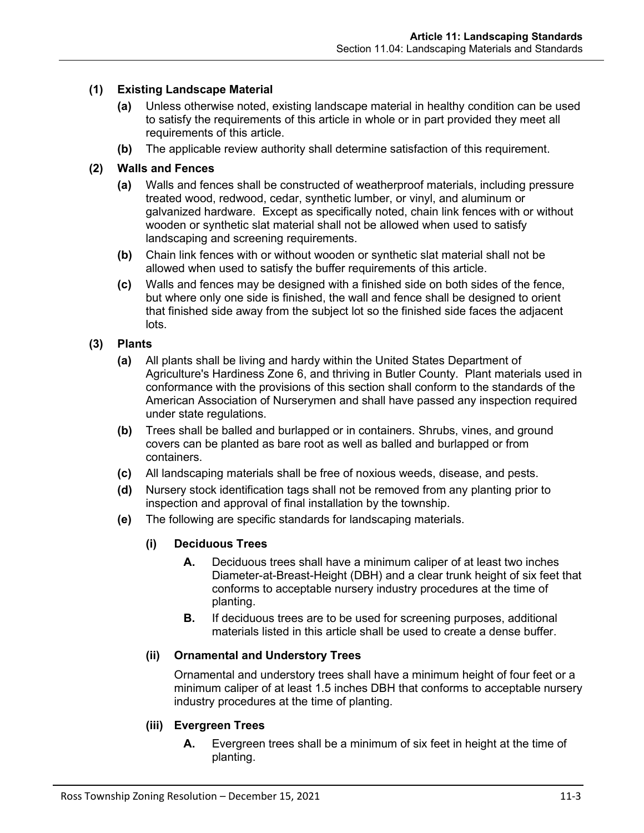## **(1) Existing Landscape Material**

- **(a)** Unless otherwise noted, existing landscape material in healthy condition can be used to satisfy the requirements of this article in whole or in part provided they meet all requirements of this article.
- **(b)** The applicable review authority shall determine satisfaction of this requirement.

#### **(2) Walls and Fences**

- **(a)** Walls and fences shall be constructed of weatherproof materials, including pressure treated wood, redwood, cedar, synthetic lumber, or vinyl, and aluminum or galvanized hardware. Except as specifically noted, chain link fences with or without wooden or synthetic slat material shall not be allowed when used to satisfy landscaping and screening requirements.
- **(b)** Chain link fences with or without wooden or synthetic slat material shall not be allowed when used to satisfy the buffer requirements of this article.
- **(c)** Walls and fences may be designed with a finished side on both sides of the fence, but where only one side is finished, the wall and fence shall be designed to orient that finished side away from the subject lot so the finished side faces the adjacent lots.

# **(3) Plants**

- **(a)** All plants shall be living and hardy within the United States Department of Agriculture's Hardiness Zone 6, and thriving in Butler County. Plant materials used in conformance with the provisions of this section shall conform to the standards of the American Association of Nurserymen and shall have passed any inspection required under state regulations.
- **(b)** Trees shall be balled and burlapped or in containers. Shrubs, vines, and ground covers can be planted as bare root as well as balled and burlapped or from containers.
- **(c)** All landscaping materials shall be free of noxious weeds, disease, and pests.
- **(d)** Nursery stock identification tags shall not be removed from any planting prior to inspection and approval of final installation by the township.
- **(e)** The following are specific standards for landscaping materials.

#### **(i) Deciduous Trees**

- **A.** Deciduous trees shall have a minimum caliper of at least two inches Diameter-at-Breast-Height (DBH) and a clear trunk height of six feet that conforms to acceptable nursery industry procedures at the time of planting.
- **B.** If deciduous trees are to be used for screening purposes, additional materials listed in this article shall be used to create a dense buffer.

#### **(ii) Ornamental and Understory Trees**

Ornamental and understory trees shall have a minimum height of four feet or a minimum caliper of at least 1.5 inches DBH that conforms to acceptable nursery industry procedures at the time of planting.

#### **(iii) Evergreen Trees**

**A.** Evergreen trees shall be a minimum of six feet in height at the time of planting.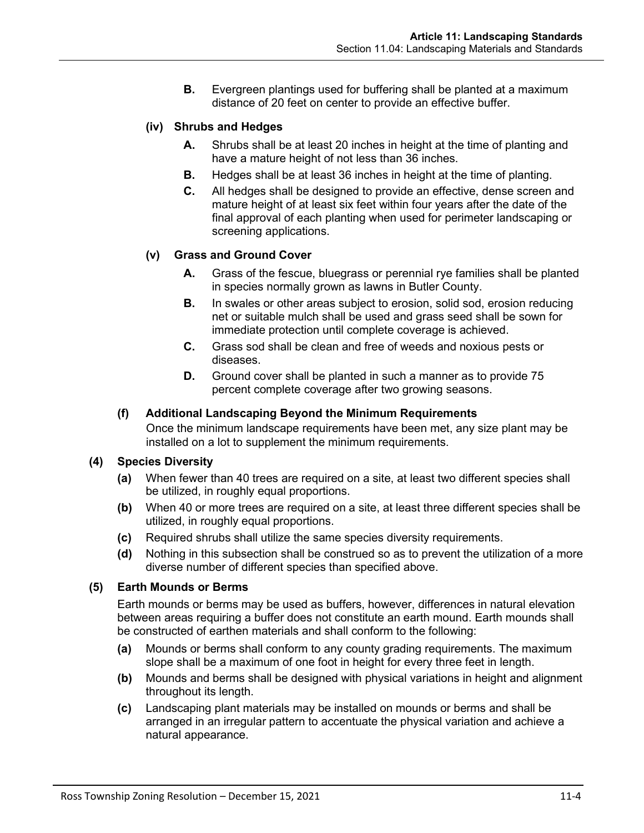**B.** Evergreen plantings used for buffering shall be planted at a maximum distance of 20 feet on center to provide an effective buffer.

## **(iv) Shrubs and Hedges**

- **A.** Shrubs shall be at least 20 inches in height at the time of planting and have a mature height of not less than 36 inches.
- **B.** Hedges shall be at least 36 inches in height at the time of planting.
- **C.** All hedges shall be designed to provide an effective, dense screen and mature height of at least six feet within four years after the date of the final approval of each planting when used for perimeter landscaping or screening applications.

#### **(v) Grass and Ground Cover**

- **A.** Grass of the fescue, bluegrass or perennial rye families shall be planted in species normally grown as lawns in Butler County.
- **B.** In swales or other areas subject to erosion, solid sod, erosion reducing net or suitable mulch shall be used and grass seed shall be sown for immediate protection until complete coverage is achieved.
- **C.** Grass sod shall be clean and free of weeds and noxious pests or diseases.
- **D.** Ground cover shall be planted in such a manner as to provide 75 percent complete coverage after two growing seasons.

#### **(f) Additional Landscaping Beyond the Minimum Requirements**

Once the minimum landscape requirements have been met, any size plant may be installed on a lot to supplement the minimum requirements.

#### **(4) Species Diversity**

- **(a)** When fewer than 40 trees are required on a site, at least two different species shall be utilized, in roughly equal proportions.
- **(b)** When 40 or more trees are required on a site, at least three different species shall be utilized, in roughly equal proportions.
- **(c)** Required shrubs shall utilize the same species diversity requirements.
- **(d)** Nothing in this subsection shall be construed so as to prevent the utilization of a more diverse number of different species than specified above.

#### **(5) Earth Mounds or Berms**

Earth mounds or berms may be used as buffers, however, differences in natural elevation between areas requiring a buffer does not constitute an earth mound. Earth mounds shall be constructed of earthen materials and shall conform to the following:

- **(a)** Mounds or berms shall conform to any county grading requirements. The maximum slope shall be a maximum of one foot in height for every three feet in length.
- **(b)** Mounds and berms shall be designed with physical variations in height and alignment throughout its length.
- **(c)** Landscaping plant materials may be installed on mounds or berms and shall be arranged in an irregular pattern to accentuate the physical variation and achieve a natural appearance.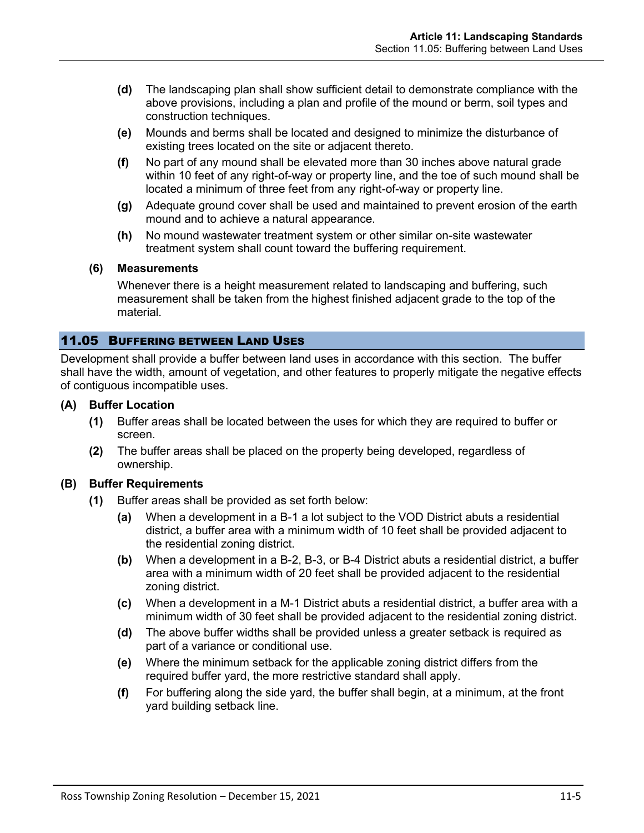- **(d)** The landscaping plan shall show sufficient detail to demonstrate compliance with the above provisions, including a plan and profile of the mound or berm, soil types and construction techniques.
- **(e)** Mounds and berms shall be located and designed to minimize the disturbance of existing trees located on the site or adjacent thereto.
- **(f)** No part of any mound shall be elevated more than 30 inches above natural grade within 10 feet of any right-of-way or property line, and the toe of such mound shall be located a minimum of three feet from any right-of-way or property line.
- **(g)** Adequate ground cover shall be used and maintained to prevent erosion of the earth mound and to achieve a natural appearance.
- **(h)** No mound wastewater treatment system or other similar on-site wastewater treatment system shall count toward the buffering requirement.

#### **(6) Measurements**

Whenever there is a height measurement related to landscaping and buffering, such measurement shall be taken from the highest finished adjacent grade to the top of the material.

#### <span id="page-4-0"></span>11.05 BUFFERING BETWEEN LAND USES

Development shall provide a buffer between land uses in accordance with this section. The buffer shall have the width, amount of vegetation, and other features to properly mitigate the negative effects of contiguous incompatible uses.

#### **(A) Buffer Location**

- **(1)** Buffer areas shall be located between the uses for which they are required to buffer or screen.
- **(2)** The buffer areas shall be placed on the property being developed, regardless of ownership.

#### **(B) Buffer Requirements**

- **(1)** Buffer areas shall be provided as set forth below:
	- **(a)** When a development in a B-1 a lot subject to the VOD District abuts a residential district, a buffer area with a minimum width of 10 feet shall be provided adjacent to the residential zoning district.
	- **(b)** When a development in a B-2, B-3, or B-4 District abuts a residential district, a buffer area with a minimum width of 20 feet shall be provided adjacent to the residential zoning district.
	- **(c)** When a development in a M-1 District abuts a residential district, a buffer area with a minimum width of 30 feet shall be provided adjacent to the residential zoning district.
	- **(d)** The above buffer widths shall be provided unless a greater setback is required as part of a variance or conditional use.
	- **(e)** Where the minimum setback for the applicable zoning district differs from the required buffer yard, the more restrictive standard shall apply.
	- **(f)** For buffering along the side yard, the buffer shall begin, at a minimum, at the front yard building setback line.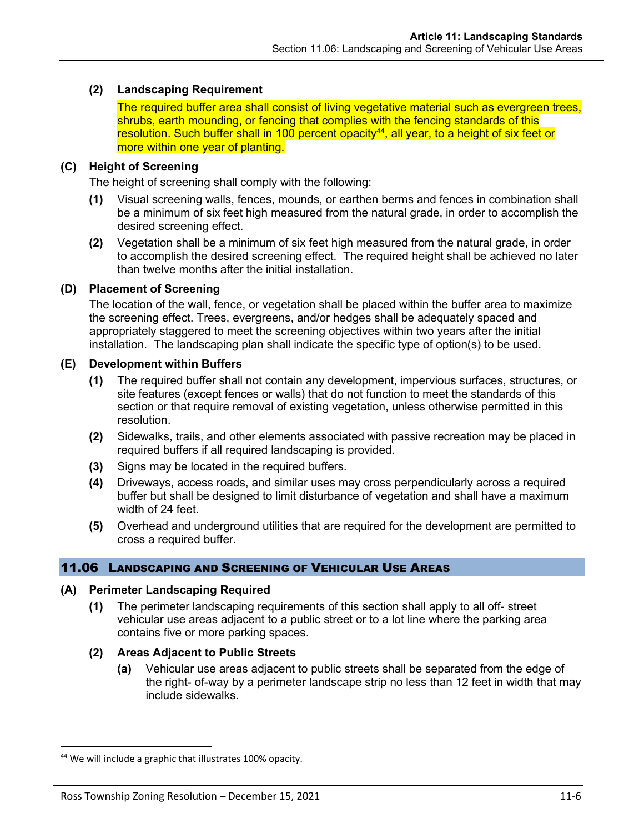## **(2) Landscaping Requirement**

The required buffer area shall consist of living vegetative material such as evergreen trees, shrubs, earth mounding, or fencing that complies with the fencing standards of this  $r$ esolution. Such buffer shall in 100 percent opacity<sup>44</sup>, all year, to a height of six feet or more within one year of planting.

#### **(C) Height of Screening**

The height of screening shall comply with the following:

- **(1)** Visual screening walls, fences, mounds, or earthen berms and fences in combination shall be a minimum of six feet high measured from the natural grade, in order to accomplish the desired screening effect.
- **(2)** Vegetation shall be a minimum of six feet high measured from the natural grade, in order to accomplish the desired screening effect. The required height shall be achieved no later than twelve months after the initial installation.

## **(D) Placement of Screening**

The location of the wall, fence, or vegetation shall be placed within the buffer area to maximize the screening effect. Trees, evergreens, and/or hedges shall be adequately spaced and appropriately staggered to meet the screening objectives within two years after the initial installation. The landscaping plan shall indicate the specific type of option(s) to be used.

#### **(E) Development within Buffers**

- **(1)** The required buffer shall not contain any development, impervious surfaces, structures, or site features (except fences or walls) that do not function to meet the standards of this section or that require removal of existing vegetation, unless otherwise permitted in this resolution.
- **(2)** Sidewalks, trails, and other elements associated with passive recreation may be placed in required buffers if all required landscaping is provided.
- **(3)** Signs may be located in the required buffers.
- **(4)** Driveways, access roads, and similar uses may cross perpendicularly across a required buffer but shall be designed to limit disturbance of vegetation and shall have a maximum width of 24 feet.
- **(5)** Overhead and underground utilities that are required for the development are permitted to cross a required buffer.

# 11.06 LANDSCAPING AND SCREENING OF VEHICULAR USE AREAS

#### **(A) Perimeter Landscaping Required**

- **(1)** The perimeter landscaping requirements of this section shall apply to all off- street vehicular use areas adjacent to a public street or to a lot line where the parking area contains five or more parking spaces.
- **(2) Areas Adjacent to Public Streets**
	- **(a)** Vehicular use areas adjacent to public streets shall be separated from the edge of the right- of-way by a perimeter landscape strip no less than 12 feet in width that may include sidewalks.

<sup>44</sup> We will include a graphic that illustrates 100% opacity.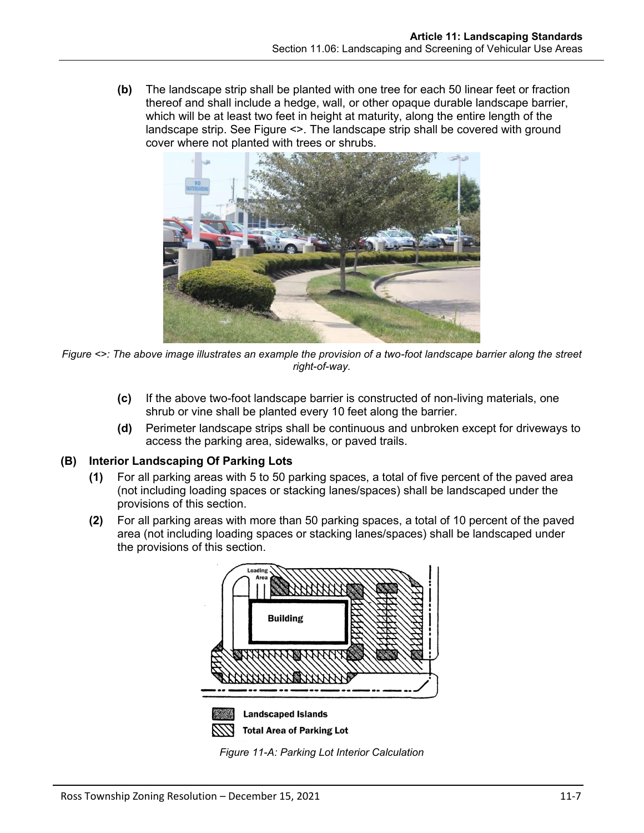**(b)** The landscape strip shall be planted with one tree for each 50 linear feet or fraction thereof and shall include a hedge, wall, or other opaque durable landscape barrier, which will be at least two feet in height at maturity, along the entire length of the landscape strip. See Figure <>. The landscape strip shall be covered with ground cover where not planted with trees or shrubs.



*Figure <>: The above image illustrates an example the provision of a two-foot landscape barrier along the street right-of-way.*

- **(c)** If the above two-foot landscape barrier is constructed of non-living materials, one shrub or vine shall be planted every 10 feet along the barrier.
- **(d)** Perimeter landscape strips shall be continuous and unbroken except for driveways to access the parking area, sidewalks, or paved trails.

# **(B) Interior Landscaping Of Parking Lots**

- **(1)** For all parking areas with 5 to 50 parking spaces, a total of five percent of the paved area (not including loading spaces or stacking lanes/spaces) shall be landscaped under the provisions of this section.
- **(2)** For all parking areas with more than 50 parking spaces, a total of 10 percent of the paved area (not including loading spaces or stacking lanes/spaces) shall be landscaped under the provisions of this section.



<span id="page-6-0"></span>*Figure 11-A: Parking Lot Interior Calculation*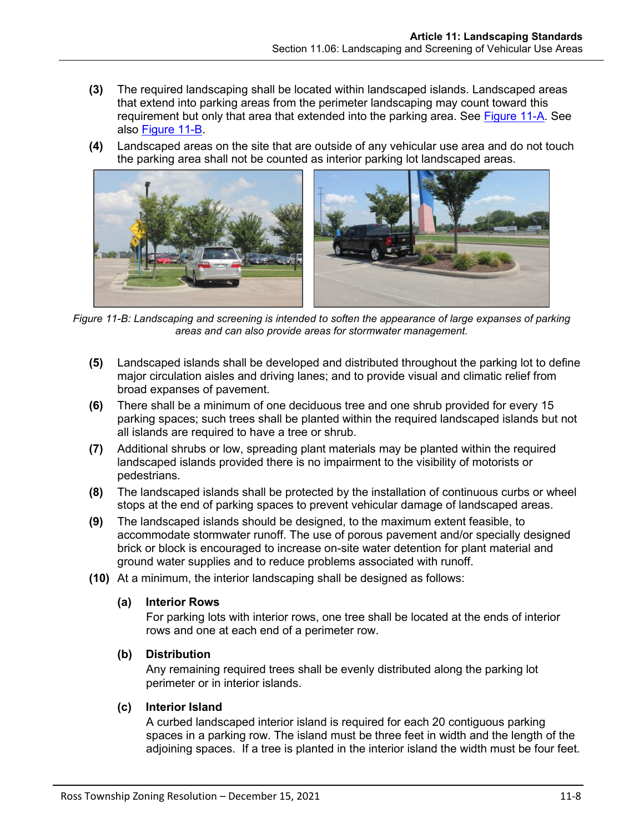- **(3)** The required landscaping shall be located within landscaped islands. Landscaped areas that extend into parking areas from the perimeter landscaping may count toward this requirement but only that area that extended into the parking area. See [Figure 11-A.](#page-6-0) See also [Figure 11-B.](#page-7-0)
- **(4)** Landscaped areas on the site that are outside of any vehicular use area and do not touch the parking area shall not be counted as interior parking lot landscaped areas.



*Figure 11-B: Landscaping and screening is intended to soften the appearance of large expanses of parking areas and can also provide areas for stormwater management.*

- <span id="page-7-0"></span>**(5)** Landscaped islands shall be developed and distributed throughout the parking lot to define major circulation aisles and driving lanes; and to provide visual and climatic relief from broad expanses of pavement.
- **(6)** There shall be a minimum of one deciduous tree and one shrub provided for every 15 parking spaces; such trees shall be planted within the required landscaped islands but not all islands are required to have a tree or shrub.
- **(7)** Additional shrubs or low, spreading plant materials may be planted within the required landscaped islands provided there is no impairment to the visibility of motorists or pedestrians.
- **(8)** The landscaped islands shall be protected by the installation of continuous curbs or wheel stops at the end of parking spaces to prevent vehicular damage of landscaped areas.
- **(9)** The landscaped islands should be designed, to the maximum extent feasible, to accommodate stormwater runoff. The use of porous pavement and/or specially designed brick or block is encouraged to increase on-site water detention for plant material and ground water supplies and to reduce problems associated with runoff.
- **(10)** At a minimum, the interior landscaping shall be designed as follows:

#### **(a) Interior Rows**

For parking lots with interior rows, one tree shall be located at the ends of interior rows and one at each end of a perimeter row.

#### **(b) Distribution**

Any remaining required trees shall be evenly distributed along the parking lot perimeter or in interior islands.

#### **(c) Interior Island**

A curbed landscaped interior island is required for each 20 contiguous parking spaces in a parking row. The island must be three feet in width and the length of the adjoining spaces. If a tree is planted in the interior island the width must be four feet.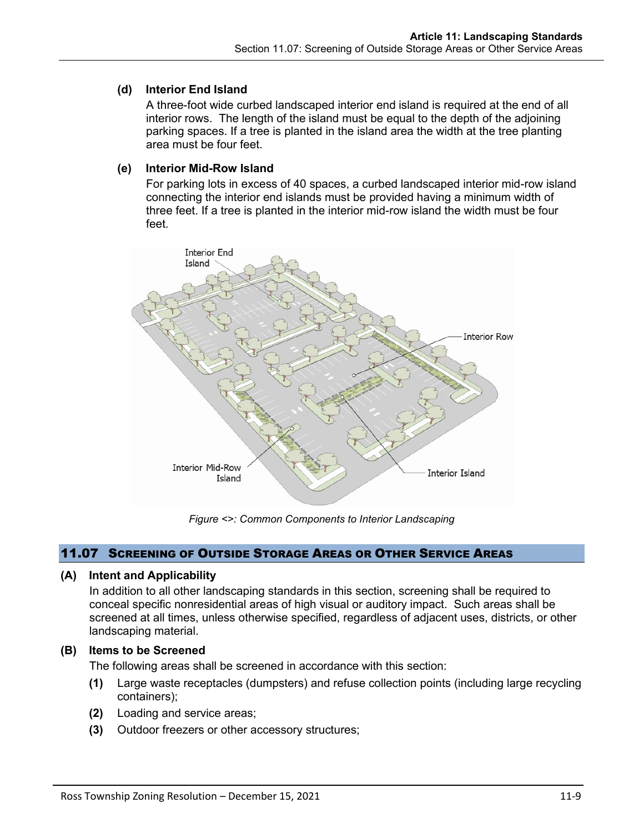## **(d) Interior End Island**

A three-foot wide curbed landscaped interior end island is required at the end of all interior rows. The length of the island must be equal to the depth of the adjoining parking spaces. If a tree is planted in the island area the width at the tree planting area must be four feet.

## **(e) Interior Mid-Row Island**

For parking lots in excess of 40 spaces, a curbed landscaped interior mid-row island connecting the interior end islands must be provided having a minimum width of three feet. If a tree is planted in the interior mid-row island the width must be four feet.



*Figure <>: Common Components to Interior Landscaping*

#### 11.07 SCREENING OF OUTSIDE STORAGE AREAS OR OTHER SERVICE AREAS

#### **(A) Intent and Applicability**

In addition to all other landscaping standards in this section, screening shall be required to conceal specific nonresidential areas of high visual or auditory impact. Such areas shall be screened at all times, unless otherwise specified, regardless of adjacent uses, districts, or other landscaping material.

#### **(B) Items to be Screened**

The following areas shall be screened in accordance with this section:

- **(1)** Large waste receptacles (dumpsters) and refuse collection points (including large recycling containers);
- **(2)** Loading and service areas;
- **(3)** Outdoor freezers or other accessory structures;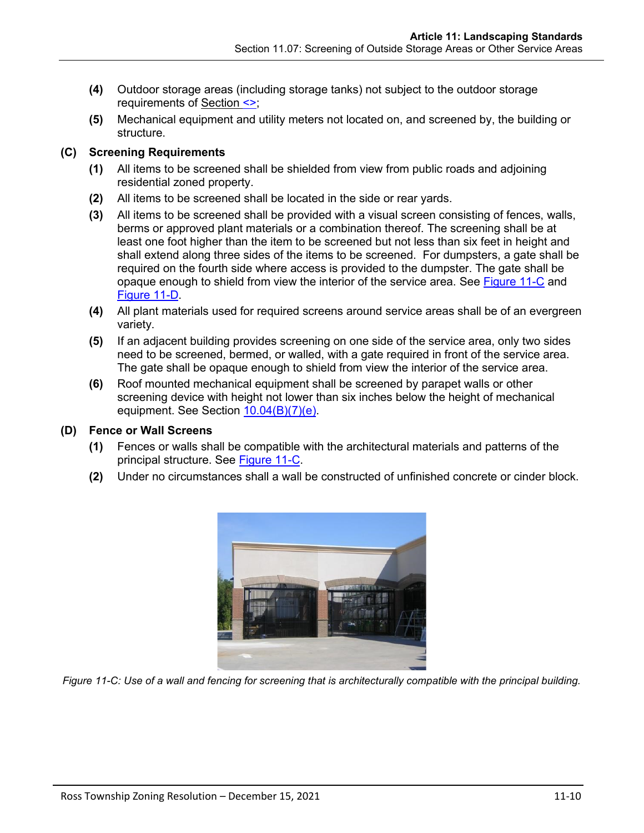- **(4)** Outdoor storage areas (including storage tanks) not subject to the outdoor storage requirements of Section <>;
- **(5)** Mechanical equipment and utility meters not located on, and screened by, the building or structure.

## **(C) Screening Requirements**

- **(1)** All items to be screened shall be shielded from view from public roads and adjoining residential zoned property.
- **(2)** All items to be screened shall be located in the side or rear yards.
- **(3)** All items to be screened shall be provided with a visual screen consisting of fences, walls, berms or approved plant materials or a combination thereof. The screening shall be at least one foot higher than the item to be screened but not less than six feet in height and shall extend along three sides of the items to be screened. For dumpsters, a gate shall be required on the fourth side where access is provided to the dumpster. The gate shall be opaque enough to shield from view the interior of the service area. See [Figure 11-C](#page-9-0) and [Figure 11-D.](#page-10-0)
- **(4)** All plant materials used for required screens around service areas shall be of an evergreen variety.
- **(5)** If an adjacent building provides screening on one side of the service area, only two sides need to be screened, bermed, or walled, with a gate required in front of the service area. The gate shall be opaque enough to shield from view the interior of the service area.
- **(6)** Roof mounted mechanical equipment shall be screened by parapet walls or other screening device with height not lower than six inches below the height of mechanical equipment. See Section 10.04(B)(7)(e).

# **(D) Fence or Wall Screens**

- **(1)** Fences or walls shall be compatible with the architectural materials and patterns of the principal structure. See [Figure 11-C.](#page-9-0)
- **(2)** Under no circumstances shall a wall be constructed of unfinished concrete or cinder block.



<span id="page-9-0"></span>*Figure 11-C: Use of a wall and fencing for screening that is architecturally compatible with the principal building.*